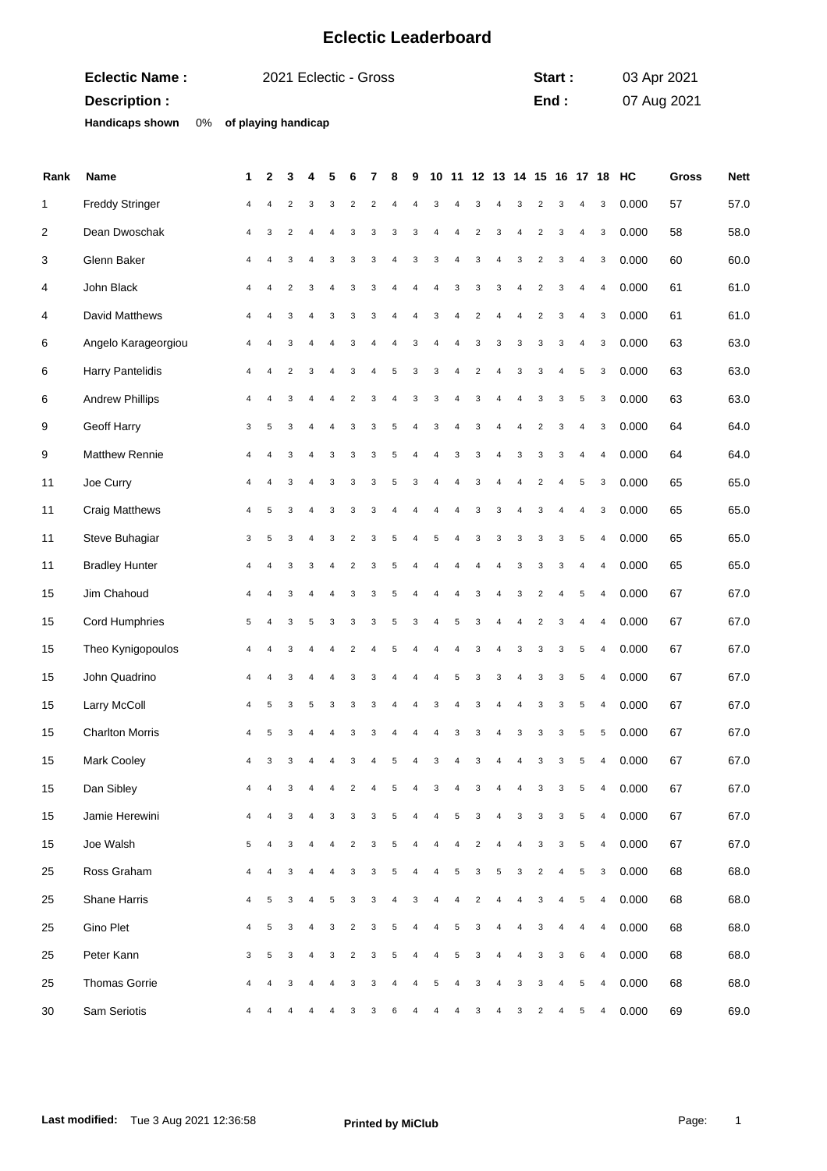## **Eclectic Leaderboard**

| <b>Eclectic Name:</b>  | 2021 Eclectic - Gross  | Start: | 03 Apr 2021 |
|------------------------|------------------------|--------|-------------|
| Description :          |                        | End:   | 07 Aug 2021 |
| <b>Handicaps shown</b> | 0% of playing handicap |        |             |

| Rank | Name                   | 1            | 2                     | 3              | 4              | 5              | 6                       | 7                       | 8              | 9              | 10             |             |                         | 11 12 13 14 15 16 17 18 |                |                         |                |                |                           | HC    | <b>Gross</b> | <b>Nett</b> |
|------|------------------------|--------------|-----------------------|----------------|----------------|----------------|-------------------------|-------------------------|----------------|----------------|----------------|-------------|-------------------------|-------------------------|----------------|-------------------------|----------------|----------------|---------------------------|-------|--------------|-------------|
| 1    | <b>Freddy Stringer</b> | 4            | 4                     | $\overline{2}$ | 3              | 3              | $\overline{c}$          | $\overline{\mathbf{c}}$ | $\overline{4}$ | 4              | 3              | 4           | 3                       | 4                       | 3              | $\overline{\mathbf{c}}$ | 3              | 4              | 3                         | 0.000 | 57           | 57.0        |
| 2    | Dean Dwoschak          | 4            | 3                     | $\overline{2}$ | 4              | 4              | 3                       | 3                       | 3              | 3              | 4              | 4           | $\overline{c}$          | 3                       | 4              | $\overline{c}$          | 3              | $\overline{4}$ | 3                         | 0.000 | 58           | 58.0        |
| 3    | Glenn Baker            | 4            | $\overline{4}$        | 3              | 4              | 3              | 3                       | 3                       | $\overline{4}$ | 3              | 3              | 4           | 3                       | 4                       | 3              | $\overline{2}$          | 3              | $\overline{4}$ | $\mathbf{3}$              | 0.000 | 60           | 60.0        |
| 4    | John Black             | 4            | $\overline{4}$        | $\overline{2}$ | 3              | $\overline{4}$ | 3                       | 3                       | $\overline{4}$ | 4              | 4              | 3           | 3                       | 3                       | 4              | $\overline{\mathbf{c}}$ | 3              | 4              | $\overline{4}$            | 0.000 | 61           | 61.0        |
| 4    | David Matthews         | 4            | 4                     | 3              | 4              | 3              | 3                       | 3                       | 4              | 4              | 3              | 4           | $\overline{c}$          | 4                       | 4              | $\overline{c}$          | 3              | $\overline{4}$ | 3                         | 0.000 | 61           | 61.0        |
| 6    | Angelo Karageorgiou    | 4            | 4                     | 3              | 4              | $\overline{4}$ | 3                       | 4                       | $\overline{4}$ | 3              | $\sqrt{4}$     | 4           | 3                       | 3                       | 3              | 3                       | 3              | $\overline{4}$ | 3                         | 0.000 | 63           | 63.0        |
| 6    | Harry Pantelidis       | 4            | 4                     | $\overline{2}$ | 3              | $\overline{4}$ | 3                       | 4                       | 5              | 3              | 3              | 4           | $\overline{c}$          | $\overline{4}$          | 3              | 3                       | 4              | 5              | 3                         | 0.000 | 63           | 63.0        |
| 6    | <b>Andrew Phillips</b> | 4            | 4                     | 3              | 4              | 4              | $\overline{c}$          | 3                       | $\overline{4}$ | 3              | 3              | 4           | 3                       | 4                       | 4              | 3                       | 3              | 5              | 3                         | 0.000 | 63           | 63.0        |
| 9    | Geoff Harry            | 3            | 5                     | 3              | 4              | $\overline{4}$ | 3                       | 3                       | 5              | 4              | 3              | 4           | 3                       | $\overline{4}$          | 4              | $\overline{2}$          | 3              | $\overline{4}$ | $\mathbf{3}$              | 0.000 | 64           | 64.0        |
| 9    | Matthew Rennie         | 4            | 4                     | 3              | 4              | 3              | 3                       | 3                       | 5              | 4              | 4              | 3           | 3                       | $\overline{4}$          | 3              | 3                       | 3              | 4              | $\overline{4}$            | 0.000 | 64           | 64.0        |
| 11   | Joe Curry              | 4            | 4                     | 3              | 4              | 3              | 3                       | 3                       | 5              | 3              | 4              | 4           | 3                       | 4                       | 4              | $\overline{c}$          | $\overline{4}$ | 5              | 3                         | 0.000 | 65           | 65.0        |
| 11   | <b>Craig Matthews</b>  | 4            | 5                     | 3              | 4              | 3              | 3                       | 3                       | 4              | $\overline{4}$ | 4              | 4           | 3                       | 3                       | 4              | 3                       | $\overline{4}$ | $\sqrt{4}$     | 3                         | 0.000 | 65           | 65.0        |
| 11   | Steve Buhagiar         | 3            | 5                     | 3              | 4              | 3              | $\overline{c}$          | 3                       | 5              | 4              | 5              | 4           | 3                       | 3                       | 3              | 3                       | 3              | 5              | 4                         | 0.000 | 65           | 65.0        |
| 11   | <b>Bradley Hunter</b>  | 4            | 4                     | 3              | 3              | 4              | $\overline{2}$          | 3                       | 5              | 4              | 4              | 4           | 4                       | $\overline{4}$          | 3              | 3                       | 3              | $\overline{4}$ | $\overline{4}$            | 0.000 | 65           | 65.0        |
| 15   | Jim Chahoud            | 4            | 4                     | 3              | 4              | $\overline{4}$ | 3                       | 3                       | 5              | $\overline{4}$ | 4              | 4           | 3                       | $\overline{4}$          | 3              | $\sqrt{2}$              | 4              | 5              | $\sqrt{4}$                | 0.000 | 67           | 67.0        |
| 15   | <b>Cord Humphries</b>  | 5            | 4                     | 3              | 5              | 3              | 3                       | 3                       | 5              | 3              | 4              | 5           | 3                       | 4                       | 4              | $\overline{\mathbf{c}}$ | 3              | 4              | 4                         | 0.000 | 67           | 67.0        |
| 15   | Theo Kynigopoulos      | 4            |                       | 3              | 4              | 4              | $\overline{2}$          | $\overline{4}$          | 5              | 4              | 4              | 4           | 3                       | 4                       | 3              | 3                       | 3              | 5              | $\overline{4}$            | 0.000 | 67           | 67.0        |
| 15   | John Quadrino          | 4            | 4                     | 3              | 4              |                | 3                       | 3                       | 4              | 4              | $\overline{4}$ | 5           | 3                       | 3                       | 4              | 3                       | 3              | 5              | $\sqrt{4}$                | 0.000 | 67           | 67.0        |
| 15   | Larry McColl           | 4            | 5                     | 3              | 5              | 3              | 3                       | 3                       | 4              | 4              | 3              | 4           | 3                       | $\overline{4}$          | 4              | 3                       | 3              | 5              | 4                         | 0.000 | 67           | 67.0        |
| 15   | <b>Charlton Morris</b> | 4            | 5                     | 3              | 4              | 4              | 3                       | 3                       | 4              | 4              | 4              | 3           | 3                       | 4                       | 3              | 3                       | 3              | 5              | 5                         | 0.000 | 67           | 67.0        |
| 15   | Mark Cooley            | 4            | 3                     | 3              |                |                | 3                       |                         | 5              |                | 3              |             | 3                       |                         |                | 3                       | 3              | 5              | $\overline{4}$            | 0.000 | 67           | 67.0        |
| 15   | Dan Sibley             | 4            | $\overline{4}$        | $\mathbf{3}$   | $\overline{4}$ | $\overline{4}$ | 2                       | $\overline{4}$          |                | $5 \quad 4$    |                | $3 \quad 4$ |                         | $3 \t 4 \t 4$           |                | $3^{\circ}$             | $\mathbf{3}$   |                | $5 \quad 4$               | 0.000 | 67           | 67.0        |
| 15   | Jamie Herewini         |              |                       | 3              |                | 3              | 3                       | 3                       | 5              |                |                | 5           | 3                       |                         | 3              | 3                       | 3              | 5              | $\overline{4}$            | 0.000 | 67           | 67.0        |
| 15   | Joe Walsh              | 5            | 4                     | 3              | 4              |                | $\overline{\mathbf{c}}$ | 3                       | 5              |                |                |             | $\overline{\mathbf{c}}$ | 4                       | 4              | 3                       | 3              | $\,$ 5 $\,$    | $\overline{4}$            | 0.000 | 67           | 67.0        |
| 25   | Ross Graham            | 4            | 4                     | 3              | 4              |                | 3                       | 3                       | 5              | 4              |                | 5           | 3                       | 5                       | 3              | $\overline{\mathbf{c}}$ | 4              | 5              | $\ensuremath{\mathsf{3}}$ | 0.000 | 68           | 68.0        |
| 25   | Shane Harris           | 4            | 5                     | 3              | 4              | 5              | 3                       | 3                       | $\overline{4}$ | 3              | 4              | 4           | $\overline{\mathbf{c}}$ | 4                       | $\overline{4}$ | 3                       | 4              | 5              | $\overline{4}$            | 0.000 | 68           | 68.0        |
| 25   | Gino Plet              | 4            | 5                     | 3              | 4              | 3              | $\overline{\mathbf{c}}$ | 3                       | 5              | 4              | $\overline{4}$ | 5           | 3                       | 4                       | 4              | 3                       | 4              | 4              | 4                         | 0.000 | 68           | 68.0        |
| 25   | Peter Kann             | $\mathbf{3}$ | $\sqrt{5}$            | 3              | 4              | 3              | $\overline{c}$          | 3                       | 5              |                |                | 5           | 3                       | 4                       | 4              | 3                       | 3              | 6              | $\overline{4}$            | 0.000 | 68           | 68.0        |
| 25   | Thomas Gorrie          | 4            | $\boldsymbol{\Delta}$ | 3              | 4              |                | 3                       | 3                       | 4              |                | 5              | 4           | 3                       | 4                       | 3              | 3                       | 4              | 5              | $\overline{4}$            | 0.000 | 68           | 68.0        |
| 30   | Sam Seriotis           |              |                       |                |                |                | 3                       | 3                       | 6              |                |                |             | 3                       |                         | 3              | 2                       | 4              | 5              | 4                         | 0.000 | 69           | 69.0        |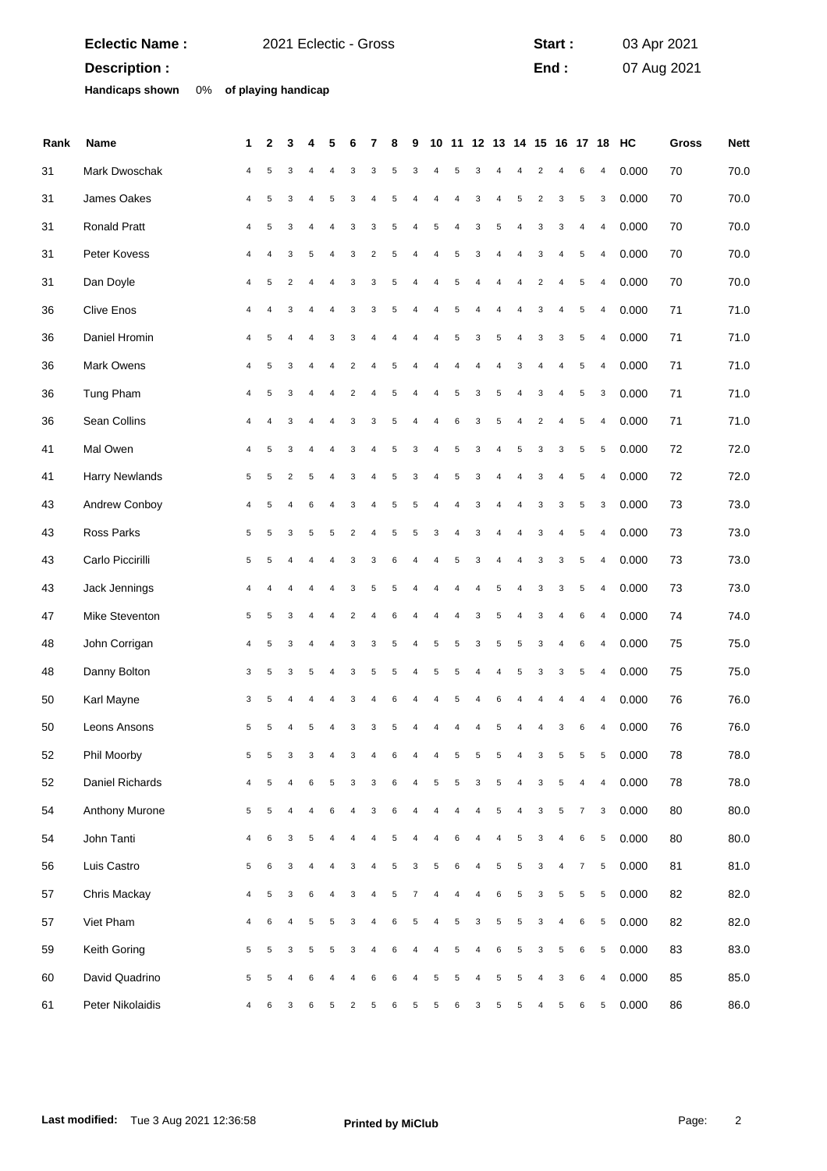|               | <b>Eclectic Name:</b>  |    |   | 2021 Eclectic - Gross   |                         |                |                |                         |                |   |                |                |   |                           |                         |                |                           | Start:                  |                |                           | 03 Apr 2021 |              |             |
|---------------|------------------------|----|---|-------------------------|-------------------------|----------------|----------------|-------------------------|----------------|---|----------------|----------------|---|---------------------------|-------------------------|----------------|---------------------------|-------------------------|----------------|---------------------------|-------------|--------------|-------------|
| Description : |                        |    |   |                         |                         |                |                |                         |                |   |                |                |   |                           |                         | End:           |                           |                         |                | 07 Aug 2021               |             |              |             |
|               | <b>Handicaps shown</b> | 0% |   | of playing handicap     |                         |                |                |                         |                |   |                |                |   |                           |                         |                |                           |                         |                |                           |             |              |             |
|               |                        |    |   |                         |                         |                |                |                         |                |   |                |                |   |                           |                         |                |                           |                         |                |                           |             |              |             |
| Rank          | Name                   |    | 1 | $\mathbf{2}$            | 3                       |                |                |                         |                | 8 | 9              | 10             |   |                           | 11 12 13 14 15 16 17 18 |                |                           |                         |                |                           | HC          | <b>Gross</b> | <b>Nett</b> |
| 31            | Mark Dwoschak          |    | 4 | 5                       | 3                       |                |                | 3                       | 3              | 5 | 3              | $\overline{4}$ | 5 | 3                         |                         |                | $\overline{c}$            | 4                       | 6              | $\overline{4}$            | 0.000       | 70           | 70.0        |
| 31            | James Oakes            |    | 4 | 5                       | 3                       | 4              | 5              | 3                       | 4              | 5 | 4              | 4              | 4 | 3                         | 4                       | 5              | $\sqrt{2}$                | 3                       | $\sqrt{5}$     | $\ensuremath{\mathsf{3}}$ | 0.000       | 70           | 70.0        |
| 31            | Ronald Pratt           |    | 4 | 5                       | 3                       | 4              | 4              | 3                       | 3              | 5 | 4              | 5              | 4 | 3                         | $\sqrt{5}$              | 4              | 3                         | 3                       | 4              | $\overline{4}$            | 0.000       | 70           | 70.0        |
| 31            | Peter Kovess           |    | 4 | 4                       | 3                       | 5              | $\overline{4}$ | 3                       | $\overline{2}$ | 5 | $\overline{4}$ | $\overline{4}$ | 5 | 3                         | $\overline{4}$          | $\overline{4}$ | 3                         | 4                       | $\sqrt{5}$     | $\pmb{4}$                 | 0.000       | 70           | 70.0        |
| 31            | Dan Doyle              |    | 4 | 5                       | $\overline{2}$          | $\overline{4}$ | 4              | 3                       | 3              | 5 | 4              | $\overline{4}$ | 5 | 4                         | $\overline{4}$          | 4              | $\boldsymbol{2}$          | 4                       | $\sqrt{5}$     | $\overline{4}$            | 0.000       | 70           | 70.0        |
| 36            | <b>Clive Enos</b>      |    | 4 | $\overline{4}$          | 3                       | 4              | 4              | 3                       | 3              | 5 | 4              | 4              | 5 | 4                         | 4                       | 4              | 3                         | 4                       | 5              | $\overline{4}$            | 0.000       | 71           | 71.0        |
| 36            | Daniel Hromin          |    | 4 | 5                       | 4                       | $\overline{4}$ | 3              | 3                       | $\overline{4}$ | 4 | 4              | $\overline{4}$ | 5 | $\ensuremath{\mathsf{3}}$ | $\sqrt{5}$              | $\overline{4}$ | $\ensuremath{\mathsf{3}}$ | 3                       | 5              | $\pmb{4}$                 | 0.000       | 71           | 71.0        |
| 36            | Mark Owens             |    | 4 | 5                       | 3                       | $\overline{4}$ |                | $\sqrt{2}$              | 4              | 5 | 4              | $\overline{4}$ | 4 | $\overline{4}$            | 4                       | 3              | 4                         | 4                       | $\sqrt{5}$     | $\overline{4}$            | 0.000       | 71           | 71.0        |
| 36            | Tung Pham              |    | 4 | 5                       | 3                       | 4              | 4              | $\overline{\mathbf{c}}$ | 4              | 5 | 4              | 4              | 5 | 3                         | $\sqrt{5}$              | 4              | 3                         | 4                       | 5              | 3                         | 0.000       | 71           | 71.0        |
| 36            | Sean Collins           |    | 4 | $\overline{\mathbf{A}}$ | 3                       | $\overline{4}$ | $\overline{4}$ | 3                       | 3              | 5 | 4              | $\overline{4}$ | 6 | $\ensuremath{\mathsf{3}}$ | $\sqrt{5}$              | $\overline{4}$ | $\overline{2}$            | 4                       | 5              | $\pmb{4}$                 | 0.000       | 71           | 71.0        |
| 41            | Mal Owen               |    | 4 | 5                       | 3                       | $\overline{4}$ |                | 3                       | 4              | 5 | 3              | 4              | 5 | 3                         | $\overline{4}$          | 5              | 3                         | 3                       | $\sqrt{5}$     | $\sqrt{5}$                | 0.000       | 72           | 72.0        |
| 41            | <b>Harry Newlands</b>  |    | 5 | 5                       | $\overline{\mathbf{c}}$ | 5              | 4              | 3                       | $\overline{4}$ | 5 | 3              | 4              | 5 | 3                         | $\overline{4}$          | 4              | 3                         | 4                       | $\sqrt{5}$     | $\overline{4}$            | 0.000       | 72           | 72.0        |
| 43            | Andrew Conboy          |    | 4 | 5                       | 4                       | 6              | $\overline{4}$ | 3                       | $\overline{4}$ | 5 | 5              | $\overline{4}$ | 4 | 3                         | $\overline{4}$          | 4              | 3                         | 3                       | 5              | 3                         | 0.000       | 73           | 73.0        |
| 43            | Ross Parks             |    | 5 | 5                       | 3                       | 5              | 5              | $\sqrt{2}$              | 4              | 5 | 5              | 3              | 4 | 3                         | 4                       | 4              | 3                         | 4                       | $\sqrt{5}$     | $\overline{4}$            | 0.000       | 73           | 73.0        |
| 43            | Carlo Piccirilli       |    | 5 | 5                       | 4                       | $\overline{4}$ | 4              | 3                       | 3              | 6 | 4              | 4              | 5 | 3                         | $\overline{4}$          | 4              | 3                         | 3                       | 5              | 4                         | 0.000       | 73           | 73.0        |
| 43            | Jack Jennings          |    | 4 |                         | 4                       | $\overline{4}$ | $\overline{4}$ | 3                       | 5              | 5 | 4              | $\overline{4}$ | 4 | $\overline{4}$            | $\sqrt{5}$              | $\overline{4}$ | 3                         | 3                       | 5              | $\pmb{4}$                 | 0.000       | 73           | 73.0        |
| 47            | Mike Steventon         |    | 5 | 5                       | 3                       |                |                | $\overline{\mathbf{c}}$ | 4              | 6 | 4              | 4              |   | 3                         | 5                       | 4              | 3                         | 4                       | 6              | $\overline{\mathbf{4}}$   | 0.000       | 74           | 74.0        |
| 48            | John Corrigan          |    | 4 | 5                       | 3                       | 4              |                | 3                       | 3              | 5 | 4              | 5              | 5 | 3                         | 5                       | 5              | 3                         | 4                       | 6              | $\overline{4}$            | 0.000       | 75           | 75.0        |
| 48            | Danny Bolton           |    | 3 | 5                       | 3                       | 5              | 4              | 3                       | 5              |   |                | 5              |   |                           |                         | 5              | 3                         | 3                       | 5              | 4                         | 0.000       | 75           | 75.0        |
| 50            | Karl Mayne             |    | 3 | $\sqrt{5}$              | 4                       | 4              | 4              | 3                       | 4              | 6 | 4              | 4              | 5 | 4                         | 6                       | 4              | 4                         | 4                       | 4              | $\overline{\mathbf{4}}$   | 0.000       | 76           | 76.0        |
| 50            | Leons Ansons           |    | 5 | 5                       | 4                       | 5              | 4              | 3                       | 3              | 5 | 4              | 4              | 4 | 4                         | 5                       | 4              | 4                         | 3                       | 6              | $\overline{4}$            | 0.000       | 76           | 76.0        |
| 52            | Phil Moorby            |    | 5 | 5                       | 3                       | 3              | 4              | 3                       | $\overline{4}$ | 6 | 4              | 4              | 5 | 5                         | $\sqrt{5}$              | $\sqrt{4}$     | 3                         | 5                       | 5              | $\,$ 5 $\,$               | 0.000       | 78           | 78.0        |
| 52            | Daniel Richards        |    | 4 | $\sqrt{5}$              | 4                       | 6              | 5              | 3                       | 3              | 6 | 4              | 5              | 5 | 3                         | $\sqrt{5}$              | 4              | 3                         | $\sqrt{5}$              | 4              | $\pmb{4}$                 | 0.000       | 78           | 78.0        |
| 54            | Anthony Murone         |    | 5 | 5                       | 4                       | 4              | 6              | 4                       | 3              | 6 | 4              | 4              | 4 | 4                         | $\sqrt{5}$              | 4              | 3                         | 5                       | $\overline{7}$ | 3                         | 0.000       | 80           | 80.0        |
| 54            | John Tanti             |    | 4 | 6                       | 3                       | 5              | 4              | $\overline{4}$          | $\overline{4}$ | 5 | 4              | 4              | 6 | $\overline{4}$            | $\overline{4}$          | 5              | 3                         | 4                       | $\,6\,$        | $\,$ 5 $\,$               | 0.000       | 80           | 80.0        |
| 56            | Luis Castro            |    | 5 | $\,6$                   | 3                       | 4              | 4              | 3                       | 4              | 5 | 3              | $\sqrt{5}$     | 6 | 4                         | $\sqrt{5}$              | 5              | 3                         | $\overline{\mathbf{4}}$ | $\overline{7}$ | $\sqrt{5}$                | 0.000       | 81           | 81.0        |
| 57            | Chris Mackay           |    | 4 | 5                       | 3                       | 6              | 4              | 3                       | 4              | 5 | 7              | 4              | 4 | 4                         | 6                       | 5              | 3                         | 5                       | 5              | 5                         | 0.000       | 82           | 82.0        |
| 57            | Viet Pham              |    | 4 | 6                       | $\overline{4}$          | 5              | 5              | 3                       | $\overline{4}$ | 6 | 5              | 4              | 5 | 3                         | 5                       | 5              | 3                         | $\overline{4}$          | 6              | $\,$ 5 $\,$               | 0.000       | 82           | 82.0        |
| 59            | Keith Goring           |    | 5 | $\sqrt{5}$              | 3                       | 5              | 5              | 3                       | 4              | 6 | 4              | 4              | 5 | 4                         | 6                       | 5              | 3                         | $\sqrt{5}$              | $\,6\,$        | $\sqrt{5}$                | 0.000       | 83           | 83.0        |
| 60            | David Quadrino         |    | 5 | 5                       | 4                       | 6              |                | 4                       | 6              | 6 | 4              | 5              | 5 | 4                         | 5                       | 5              | 4                         | 3                       | 6              | $\overline{4}$            | 0.000       | 85           | 85.0        |
| 61            | Peter Nikolaidis       |    | 4 | 6                       | 3                       | 6              | 5              | $\overline{2}$          | $\sqrt{5}$     | 6 | 5              | 5              | 6 | 3                         | 5                       | 5              | 4                         | 5                       | 6              | 5                         | 0.000       | 86           | 86.0        |